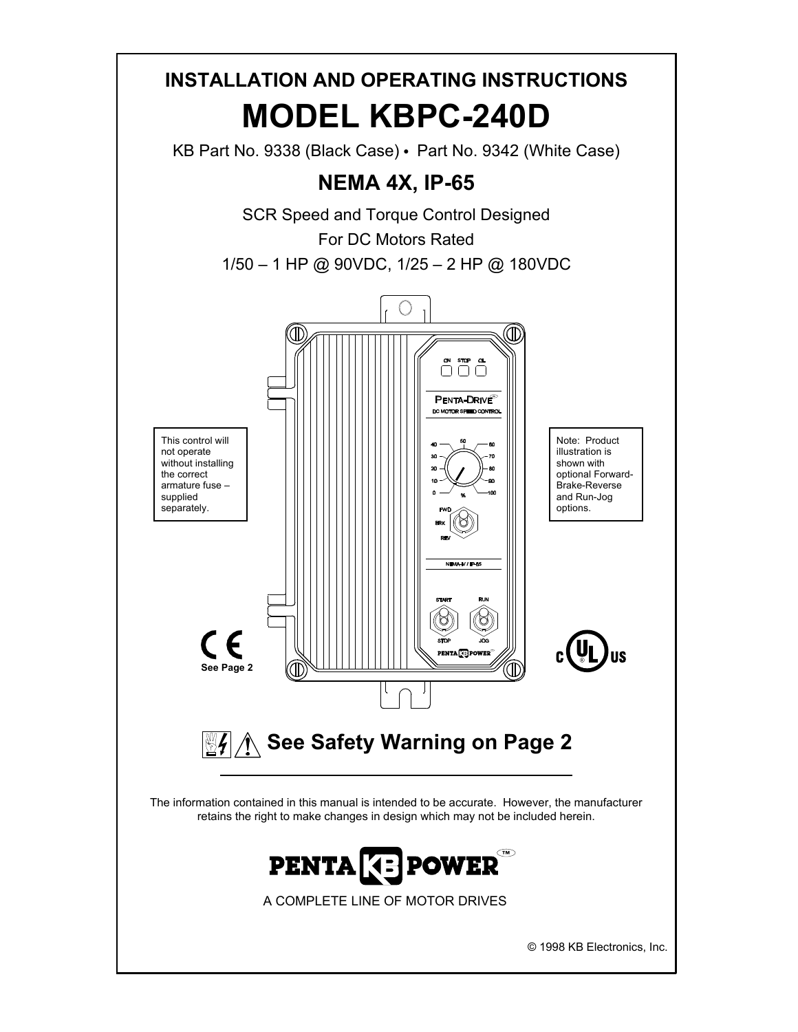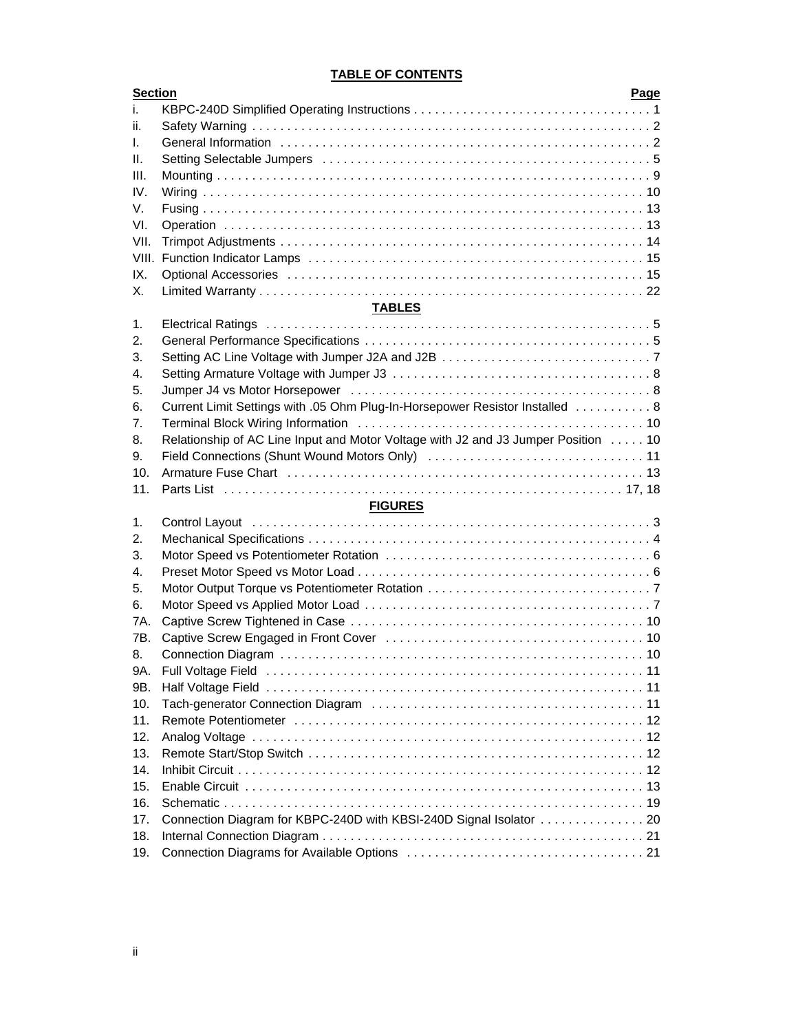# **TABLE OF CONTENTS**

| <b>Section</b> |                                                                                                                                                    | Page |
|----------------|----------------------------------------------------------------------------------------------------------------------------------------------------|------|
| İ.             |                                                                                                                                                    |      |
| ii.            |                                                                                                                                                    |      |
| L.             |                                                                                                                                                    |      |
| Ш.             |                                                                                                                                                    |      |
| III.           |                                                                                                                                                    |      |
| IV.            |                                                                                                                                                    |      |
| V.             |                                                                                                                                                    |      |
| VI.            |                                                                                                                                                    |      |
| VII.           |                                                                                                                                                    |      |
| VIII.          |                                                                                                                                                    |      |
| IX.            |                                                                                                                                                    |      |
| Х.             |                                                                                                                                                    |      |
|                | <b>TABLES</b>                                                                                                                                      |      |
| 1.             |                                                                                                                                                    |      |
| 2.             |                                                                                                                                                    |      |
| 3.             |                                                                                                                                                    |      |
| 4.             |                                                                                                                                                    |      |
| 5.             |                                                                                                                                                    |      |
| 6.             |                                                                                                                                                    |      |
|                | Current Limit Settings with .05 Ohm Plug-In-Horsepower Resistor Installed  8                                                                       |      |
| 7.             |                                                                                                                                                    |      |
| 8.             | Relationship of AC Line Input and Motor Voltage with J2 and J3 Jumper Position 10                                                                  |      |
| 9.             |                                                                                                                                                    |      |
| 10.            |                                                                                                                                                    |      |
| 11.            |                                                                                                                                                    |      |
|                | <b>FIGURES</b>                                                                                                                                     |      |
| 1.             |                                                                                                                                                    |      |
| 2.             |                                                                                                                                                    |      |
| 3.             |                                                                                                                                                    |      |
| 4.             |                                                                                                                                                    |      |
| 5.             |                                                                                                                                                    |      |
| 6.             |                                                                                                                                                    |      |
| 7A.            |                                                                                                                                                    |      |
| 7B.            | Captive Screw Engaged in Front Cover (and all contained all contained and the Screw Engaged in Front Cover (and all contained all contained and 10 |      |
| 8.             |                                                                                                                                                    |      |
| 9A.            |                                                                                                                                                    |      |
| 9B.            |                                                                                                                                                    |      |
| 10.            |                                                                                                                                                    |      |
| 11.            |                                                                                                                                                    |      |
| 12.            |                                                                                                                                                    |      |
| 13.            |                                                                                                                                                    |      |
| 14.            |                                                                                                                                                    |      |
| 15.            |                                                                                                                                                    |      |
| 16.            |                                                                                                                                                    |      |
| 17.            | Connection Diagram for KBPC-240D with KBSI-240D Signal Isolator  20                                                                                |      |
| 18.            |                                                                                                                                                    |      |
| 19.            |                                                                                                                                                    |      |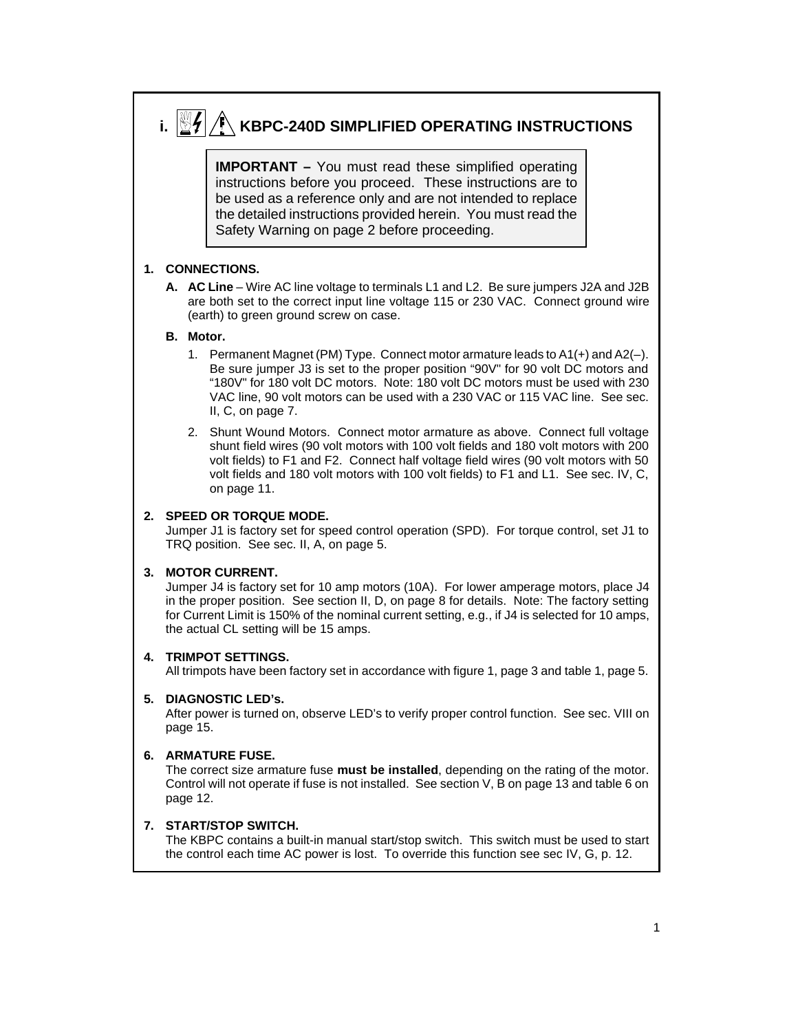# **i.**  $\left|\frac{m}{2}\right|/\hat{N}$  KBPC-240D SIMPLIFIED OPERATING INSTRUCTIONS **IMPORTANT** – You must read these simplified operating instructions before you proceed. These instructions are to be used as a reference only and are not intended to replace the detailed instructions provided herein. You must read the Safety Warning on page 2 before proceeding.

## **1. CONNECTIONS.**

**A. AC Line** – Wire AC line voltage to terminals L1 and L2. Be sure jumpers J2A and J2B are both set to the correct input line voltage 115 or 230 VAC. Connect ground wire (earth) to green ground screw on case.

#### **B. Motor.**

- 1. Permanent Magnet (PM) Type. Connect motor armature leads to A1(+) and A2(–). Be sure jumper J3 is set to the proper position "90V" for 90 volt DC motors and "180V" for 180 volt DC motors. Note: 180 volt DC motors must be used with 230 VAC line, 90 volt motors can be used with a 230 VAC or 115 VAC line. See sec. II, C, on page 7.
- 2. Shunt Wound Motors. Connect motor armature as above. Connect full voltage shunt field wires (90 volt motors with 100 volt fields and 180 volt motors with 200 volt fields) to F1 and F2. Connect half voltage field wires (90 volt motors with 50 volt fields and 180 volt motors with 100 volt fields) to F1 and L1. See sec. IV, C, on page 11.

### **2. SPEED OR TORQUE MODE.**

Jumper J1 is factory set for speed control operation (SPD). For torque control, set J1 to TRQ position. See sec. II, A, on page 5.

#### **3. MOTOR CURRENT.**

Jumper J4 is factory set for 10 amp motors (10A). For lower amperage motors, place J4 in the proper position. See section II, D, on page 8 for details. Note: The factory setting for Current Limit is 150% of the nominal current setting, e.g., if J4 is selected for 10 amps, the actual CL setting will be 15 amps.

#### **4. TRIMPOT SETTINGS.**

All trimpots have been factory set in accordance with figure 1, page 3 and table 1, page 5.

#### **5. DIAGNOSTIC LED's.**

After power is turned on, observe LED's to verify proper control function. See sec. VIII on page 15.

#### **6. ARMATURE FUSE.**

The correct size armature fuse **must be installed**, depending on the rating of the motor. Control will not operate if fuse is not installed. See section V, B on page 13 and table 6 on page 12.

#### **7. START/STOP SWITCH.**

The KBPC contains a built-in manual start/stop switch. This switch must be used to start the control each time AC power is lost. To override this function see sec IV, G, p. 12.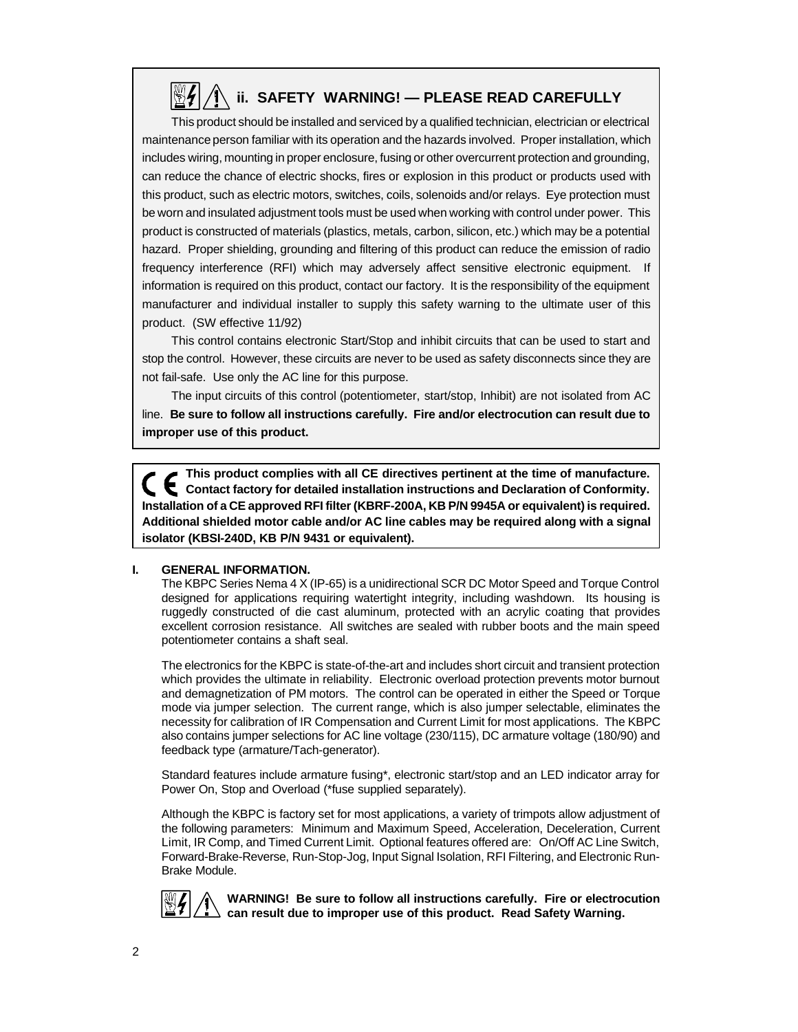# **ii. SAFETY WARNING! — PLEASE READ CAREFULLY**

This product should be installed and serviced by a qualified technician, electrician or electrical maintenance person familiar with its operation and the hazards involved. Proper installation, which includes wiring, mounting in proper enclosure, fusing or other overcurrent protection and grounding, can reduce the chance of electric shocks, fires or explosion in this product or products used with this product, such as electric motors, switches, coils, solenoids and/or relays. Eye protection must be worn and insulated adjustment tools must be used when working with control under power. This product is constructed of materials (plastics, metals, carbon, silicon, etc.) which may be a potential hazard. Proper shielding, grounding and filtering of this product can reduce the emission of radio frequency interference (RFI) which may adversely affect sensitive electronic equipment. If information is required on this product, contact our factory. It is the responsibility of the equipment manufacturer and individual installer to supply this safety warning to the ultimate user of this product. (SW effective 11/92)

This control contains electronic Start/Stop and inhibit circuits that can be used to start and stop the control. However, these circuits are never to be used as safety disconnects since they are not fail-safe. Use only the AC line for this purpose.

The input circuits of this control (potentiometer, start/stop, Inhibit) are not isolated from AC line. **Be sure to follow all instructions carefully. Fire and/or electrocution can result due to improper use of this product.**

**This product complies with all CE directives pertinent at the time of manufacture. Contact factory for detailed installation instructions and Declaration of Conformity. Installation of a CE approved RFI filter (KBRF-200A, KB P/N 9945A or equivalent) is required. Additional shielded motor cable and/or AC line cables may be required along with a signal isolator (KBSI-240D, KB P/N 9431 or equivalent).**

#### **I. GENERAL INFORMATION.**

The KBPC Series Nema 4 X (IP-65) is a unidirectional SCR DC Motor Speed and Torque Control designed for applications requiring watertight integrity, including washdown. Its housing is ruggedly constructed of die cast aluminum, protected with an acrylic coating that provides excellent corrosion resistance. All switches are sealed with rubber boots and the main speed potentiometer contains a shaft seal.

The electronics for the KBPC is state-of-the-art and includes short circuit and transient protection which provides the ultimate in reliability. Electronic overload protection prevents motor burnout and demagnetization of PM motors. The control can be operated in either the Speed or Torque mode via jumper selection. The current range, which is also jumper selectable, eliminates the necessity for calibration of IR Compensation and Current Limit for most applications. The KBPC also contains jumper selections for AC line voltage (230/115), DC armature voltage (180/90) and feedback type (armature/Tach-generator).

Standard features include armature fusing\*, electronic start/stop and an LED indicator array for Power On, Stop and Overload (\*fuse supplied separately).

Although the KBPC is factory set for most applications, a variety of trimpots allow adjustment of the following parameters: Minimum and Maximum Speed, Acceleration, Deceleration, Current Limit, IR Comp, and Timed Current Limit. Optional features offered are: On/Off AC Line Switch, Forward-Brake-Reverse, Run-Stop-Jog, Input Signal Isolation, RFI Filtering, and Electronic Run-Brake Module.



**WARNING! Be sure to follow all instructions carefully. Fire or electrocution can result due to improper use of this product. Read Safety Warning.**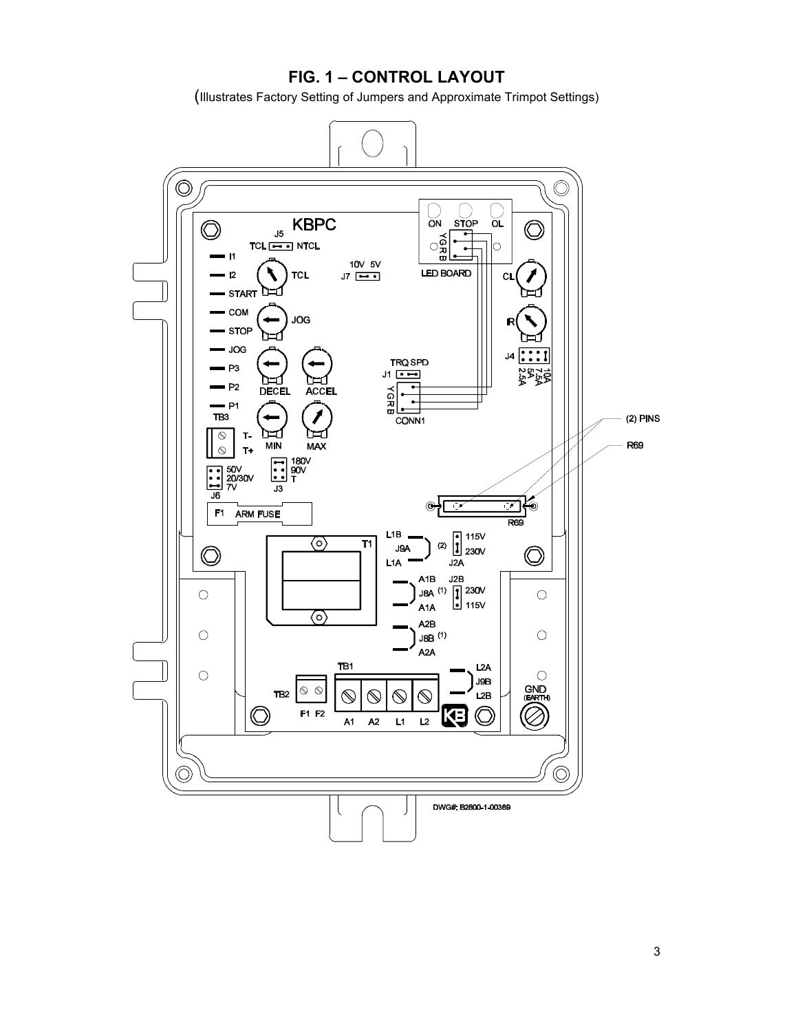# **FIG. 1 – CONTROL LAYOUT**

(Illustrates Factory Setting of Jumpers and Approximate Trimpot Settings)

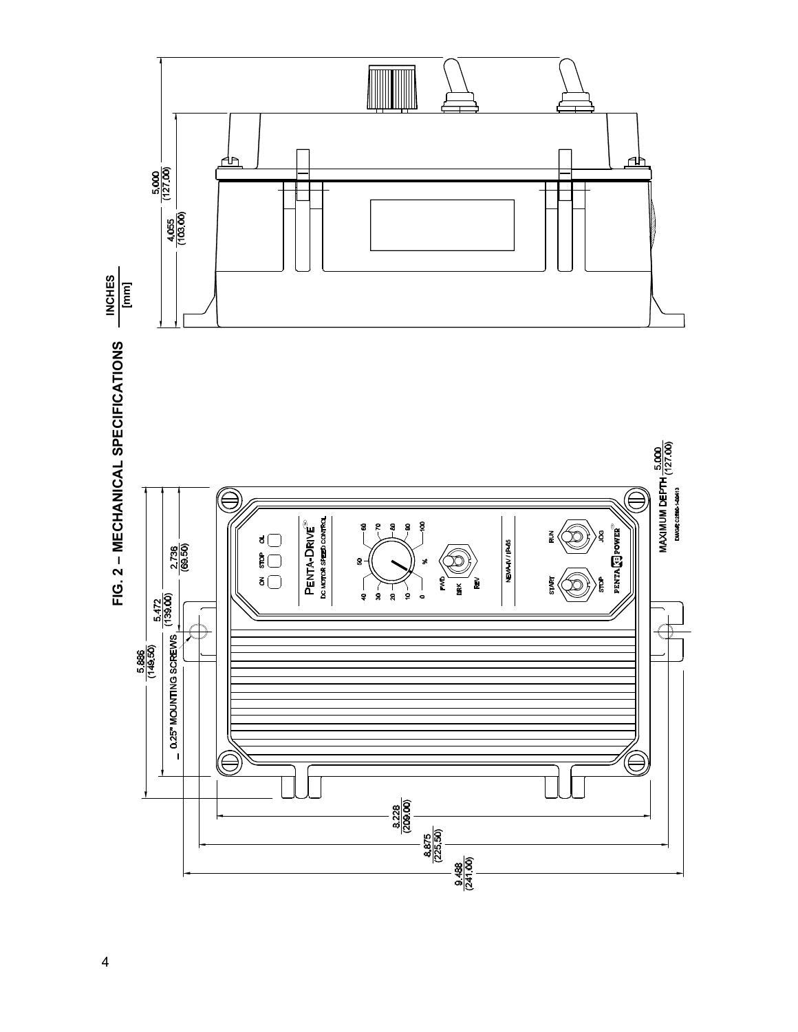

 $\overline{\mathbf{4}}$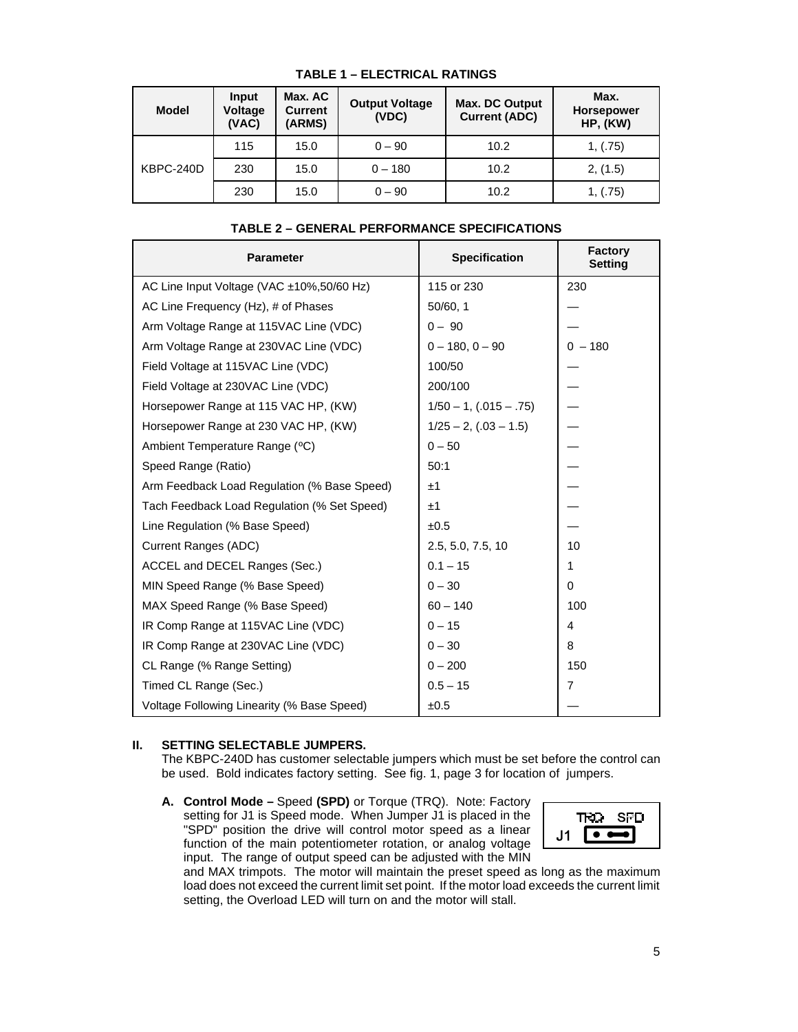| <b>Model</b> | Input<br>Voltage<br>(VAC) | Max. AC<br><b>Current</b><br>(ARMS) | <b>Output Voltage</b><br>(VDC) | Max. DC Output<br><b>Current (ADC)</b> | Max.<br><b>Horsepower</b><br>HP, (KW) |
|--------------|---------------------------|-------------------------------------|--------------------------------|----------------------------------------|---------------------------------------|
|              | 115                       | 15.0                                | $0 - 90$                       | 10.2                                   | 1, (.75)                              |
| KBPC-240D    | 230                       | 15.0                                | $0 - 180$                      | 10.2                                   | 2, (1.5)                              |
|              | 230                       | 15.0                                | $0 - 90$                       | 10.2                                   | 1, (.75)                              |

#### **TABLE 1 – ELECTRICAL RATINGS**

| TABLE 2 – GENERAL PERFORMANCE SPECIFICATIONS |
|----------------------------------------------|
|----------------------------------------------|

| <b>Parameter</b>                            | <b>Specification</b>       | <b>Factory</b><br><b>Setting</b> |
|---------------------------------------------|----------------------------|----------------------------------|
| AC Line Input Voltage (VAC ±10%,50/60 Hz)   | 115 or 230                 | 230                              |
| AC Line Frequency (Hz), # of Phases         | 50/60, 1                   |                                  |
| Arm Voltage Range at 115VAC Line (VDC)      | $0 - 90$                   |                                  |
| Arm Voltage Range at 230VAC Line (VDC)      | $0 - 180, 0 - 90$          | $0 - 180$                        |
| Field Voltage at 115VAC Line (VDC)          | 100/50                     |                                  |
| Field Voltage at 230VAC Line (VDC)          | 200/100                    |                                  |
| Horsepower Range at 115 VAC HP, (KW)        | $1/50 - 1$ , (.015 - .75)  |                                  |
| Horsepower Range at 230 VAC HP, (KW)        | $1/25 - 2$ , $(.03 - 1.5)$ |                                  |
| Ambient Temperature Range (°C)              | $0 - 50$                   |                                  |
| Speed Range (Ratio)                         | 50:1                       |                                  |
| Arm Feedback Load Regulation (% Base Speed) | ±1                         |                                  |
| Tach Feedback Load Regulation (% Set Speed) | ±1                         |                                  |
| Line Regulation (% Base Speed)              | ±0.5                       |                                  |
| Current Ranges (ADC)                        | 2.5, 5.0, 7.5, 10          | 10                               |
| ACCEL and DECEL Ranges (Sec.)               | $0.1 - 15$                 | 1                                |
| MIN Speed Range (% Base Speed)              | $0 - 30$                   | $\Omega$                         |
| MAX Speed Range (% Base Speed)              | $60 - 140$                 | 100                              |
| IR Comp Range at 115VAC Line (VDC)          | $0 - 15$                   | 4                                |
| IR Comp Range at 230VAC Line (VDC)          | $0 - 30$                   | 8                                |
| CL Range (% Range Setting)                  | $0 - 200$                  | 150                              |
| Timed CL Range (Sec.)                       | $0.5 - 15$                 | 7                                |
| Voltage Following Linearity (% Base Speed)  | ±0.5                       |                                  |

#### **II. SETTING SELECTABLE JUMPERS.**

The KBPC-240D has customer selectable jumpers which must be set before the control can be used. Bold indicates factory setting. See fig. 1, page 3 for location of jumpers.

**A. Control Mode –** Speed **(SPD)** or Torque (TRQ). Note: Factory setting for J1 is Speed mode. When Jumper J1 is placed in the "SPD" position the drive will control motor speed as a linear function of the main potentiometer rotation, or analog voltage input. The range of output speed can be adjusted with the MIN



and MAX trimpots. The motor will maintain the preset speed as long as the maximum load does not exceed the current limit set point. If the motor load exceeds the current limit setting, the Overload LED will turn on and the motor will stall.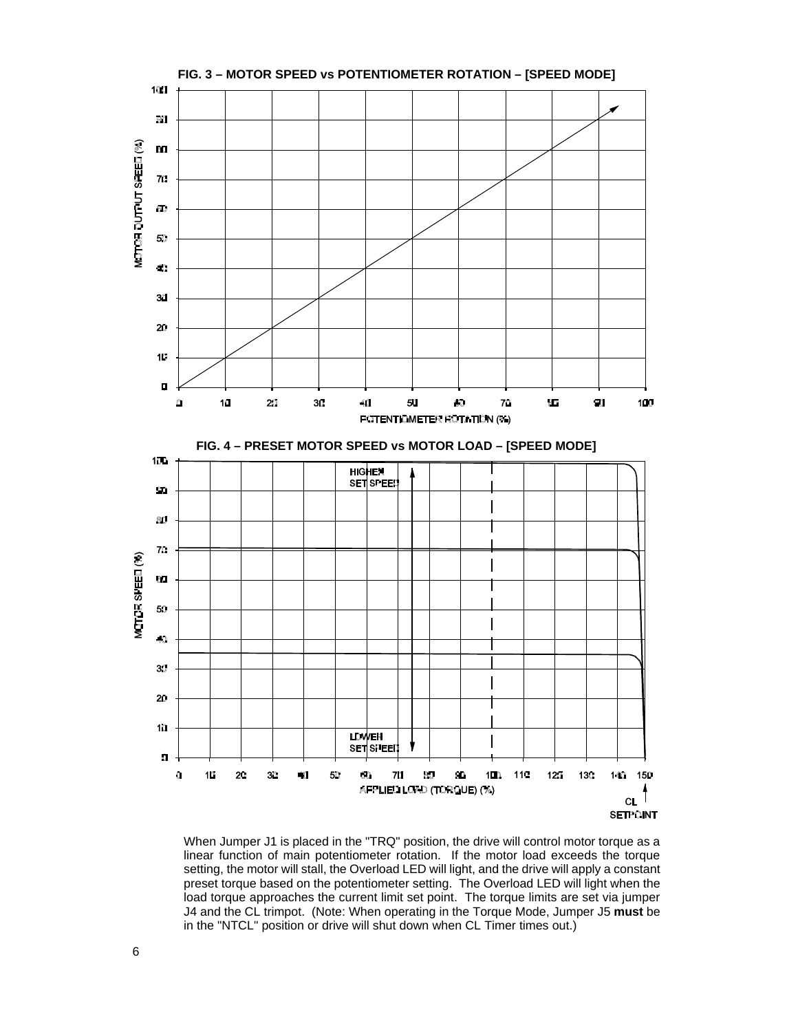

When Jumper J1 is placed in the "TRQ" position, the drive will control motor torque as a linear function of main potentiometer rotation. If the motor load exceeds the torque setting, the motor will stall, the Overload LED will light, and the drive will apply a constant preset torque based on the potentiometer setting. The Overload LED will light when the load torque approaches the current limit set point. The torque limits are set via jumper J4 and the CL trimpot. (Note: When operating in the Torque Mode, Jumper J5 **must** be in the "NTCL" position or drive will shut down when CL Timer times out.)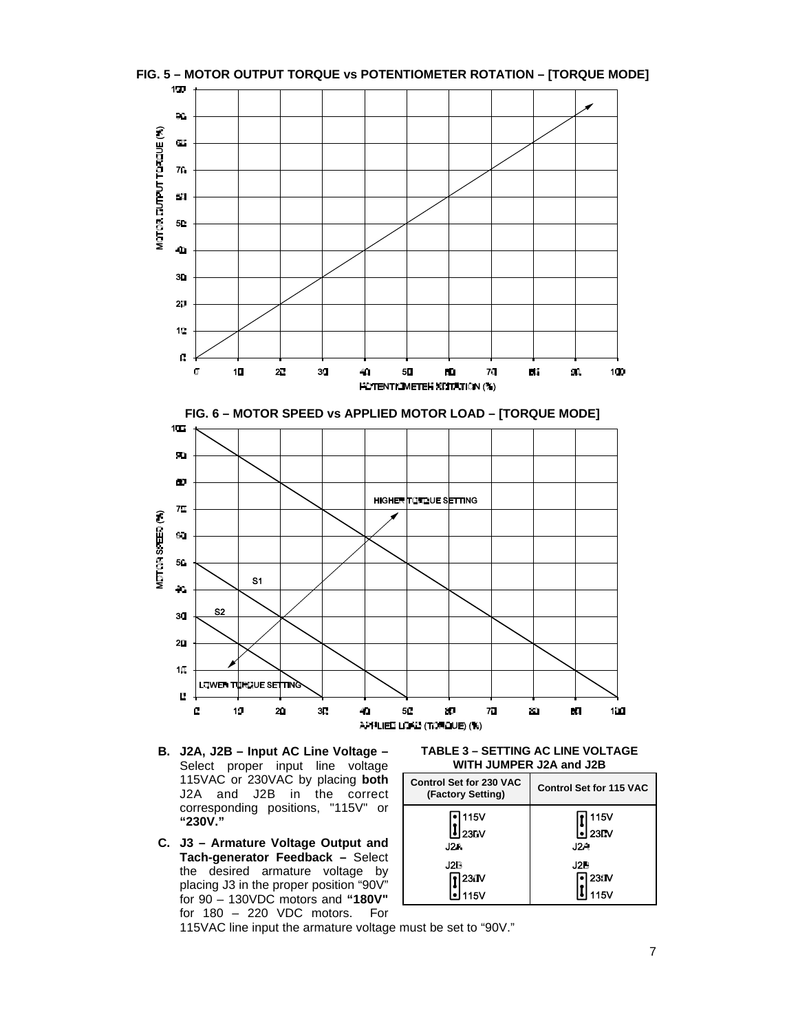

- **B. J2A, J2B Input AC Line Voltage –** Select proper input line voltage 115VAC or 230VAC by placing **both** J2A and J2B in the correct corresponding positions, "115V" or **"230V."**
- **C. J3 Armature Voltage Output and Tach-generator Feedback –** Select the desired armature voltage by placing J3 in the proper position "90V" for 90 – 130VDC motors and **"180V"** for 180 – 220 VDC motors. For

**TABLE 3 – SETTING AC LINE VOLTAGE WITH JUMPER J2A and J2B**

| <b>Control Set for 230 VAC</b><br>(Factory Setting) | <b>Control Set for 115 VAC</b> |  |  |
|-----------------------------------------------------|--------------------------------|--|--|
| <b>115V</b>                                         | 115V                           |  |  |
| 23DV                                                | <b>230V</b>                    |  |  |
| J2A                                                 | J2A                            |  |  |
| J2B                                                 | J2B                            |  |  |
| 230V                                                | $23$ $\text{d}$                |  |  |
| 15V                                                 | 15V                            |  |  |

115VAC line input the armature voltage must be set to "90V."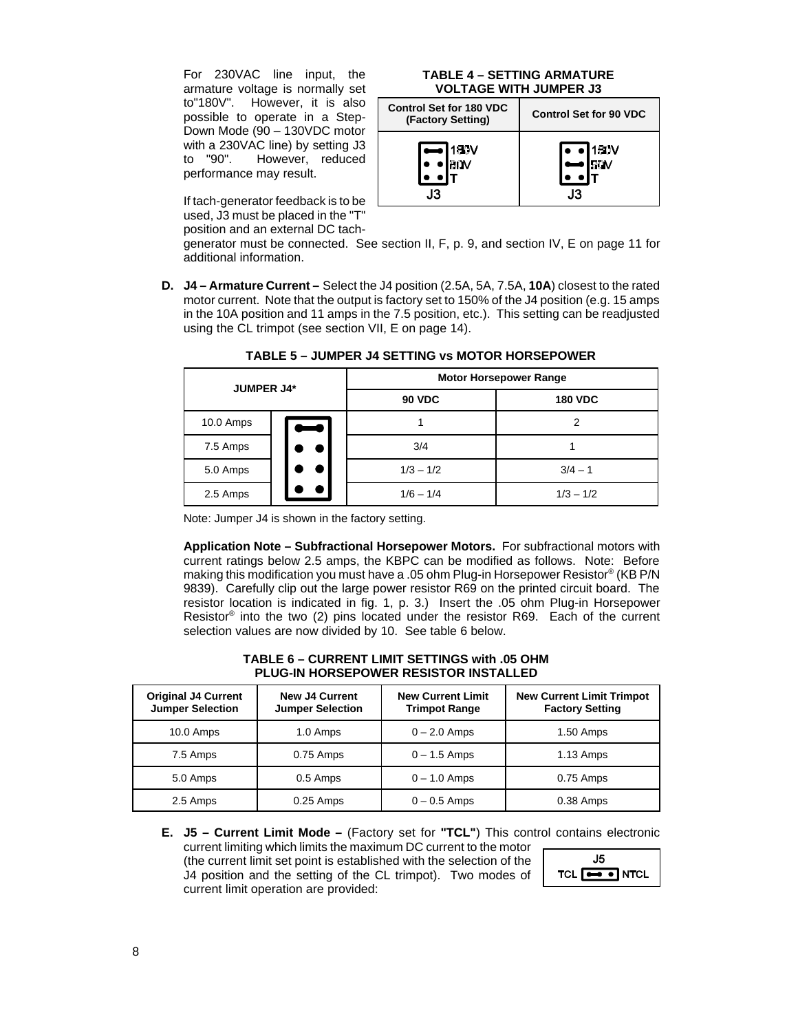For 230VAC line input, the armature voltage is normally set to"180V". However, it is also possible to operate in a Step-Down Mode (90 – 130VDC motor with a 230VAC line) by setting J3 to "90". However, reduced performance may result.

If tach-generator feedback is to be used, J3 must be placed in the "T" position and an external DC tach-

#### **TABLE 4 – SETTING ARMATURE VOLTAGE WITH JUMPER J3**

| <b>Control Set for 180 VDC</b><br>(Factory Setting) | <b>Control Set for 90 VDC</b> |
|-----------------------------------------------------|-------------------------------|
| 180V                                                | 180V                          |
| N                                                   | 90V                           |
| 13                                                  | 13                            |

generator must be connected. See section II, F, p. 9, and section IV, E on page 11 for additional information.

**D. J4 – Armature Current –** Select the J4 position (2.5A, 5A, 7.5A, **10A**) closest to the rated motor current. Note that the output is factory set to 150% of the J4 position (e.g. 15 amps in the 10A position and 11 amps in the 7.5 position, etc.). This setting can be readjusted using the CL trimpot (see section VII, E on page 14).

| <b>JUMPER J4*</b> |   | <b>Motor Horsepower Range</b> |                |  |
|-------------------|---|-------------------------------|----------------|--|
|                   |   | <b>90 VDC</b>                 | <b>180 VDC</b> |  |
| 10.0 Amps         | Ī |                               | 2              |  |
| 7.5 Amps          |   | 3/4                           |                |  |
| 5.0 Amps          |   | $1/3 - 1/2$                   | $3/4 - 1$      |  |
| 2.5 Amps          |   | $1/6 - 1/4$                   | $1/3 - 1/2$    |  |

**TABLE 5 – JUMPER J4 SETTING vs MOTOR HORSEPOWER**

Note: Jumper J4 is shown in the factory setting.

**Application Note – Subfractional Horsepower Motors.** For subfractional motors with current ratings below 2.5 amps, the KBPC can be modified as follows. Note: Before making this modification you must have a .05 ohm Plug-in Horsepower Resistor® (KB P/N 9839). Carefully clip out the large power resistor R69 on the printed circuit board. The resistor location is indicated in fig. 1, p. 3.) Insert the .05 ohm Plug-in Horsepower Resistor<sup>®</sup> into the two (2) pins located under the resistor R69. Each of the current selection values are now divided by 10. See table 6 below.

#### **TABLE 6 – CURRENT LIMIT SETTINGS with .05 OHM PLUG-IN HORSEPOWER RESISTOR INSTALLED**

| <b>Original J4 Current</b><br><b>Jumper Selection</b> | <b>New J4 Current</b><br><b>Jumper Selection</b> | <b>New Current Limit</b><br><b>Trimpot Range</b> | <b>New Current Limit Trimpot</b><br><b>Factory Setting</b> |
|-------------------------------------------------------|--------------------------------------------------|--------------------------------------------------|------------------------------------------------------------|
| 10.0 Amps                                             | 1.0 Amps                                         | $0 - 2.0$ Amps                                   | $1.50$ Amps                                                |
| 7.5 Amps                                              | 0.75 Amps                                        | $0 - 1.5$ Amps                                   | $1.13$ Amps                                                |
| 5.0 Amps                                              | 0.5 Amps                                         | $0 - 1.0$ Amps                                   | $0.75$ Amps                                                |
| 2.5 Amps                                              | $0.25$ Amps                                      | $0 - 0.5$ Amps                                   | 0.38 Amps                                                  |

**E. J5 – Current Limit Mode –** (Factory set for **"TCL"**) This control contains electronic current limiting which limits the maximum DC current to the motor  $J5$ (the current limit set point is established with the selection of the TCL  $\boxed{\rightarrow\bullet}$  NTCL J4 position and the setting of the CL trimpot). Two modes of current limit operation are provided: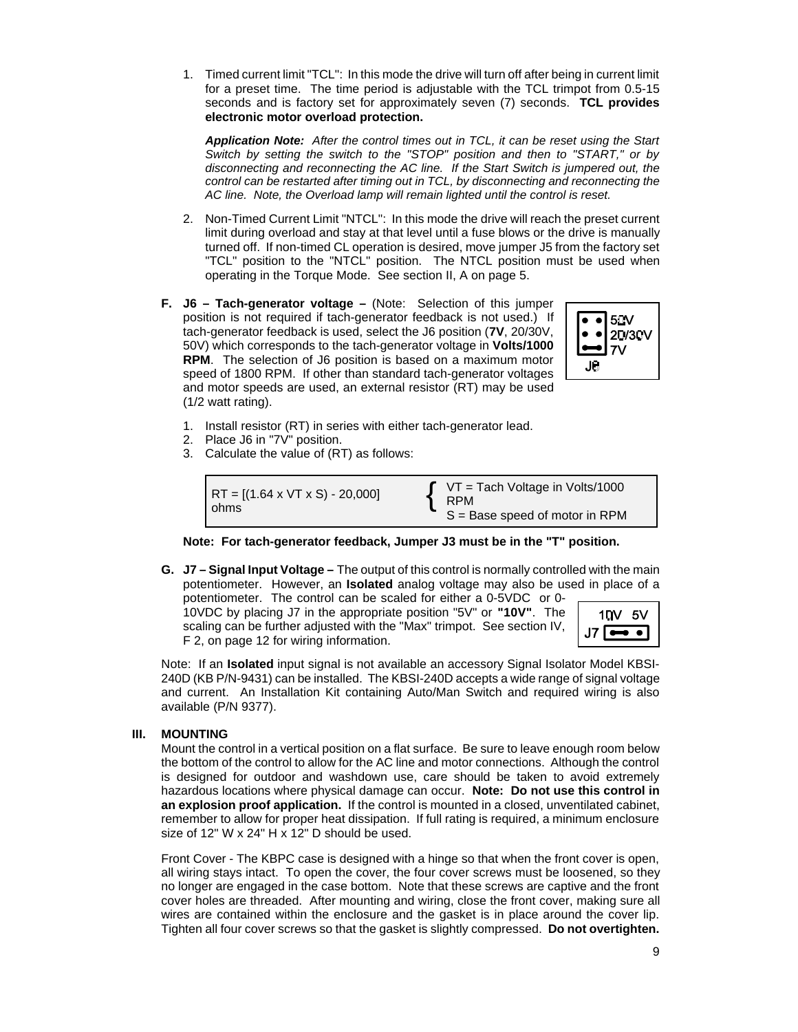1. Timed current limit "TCL": In this mode the drive will turn off after being in current limit for a preset time. The time period is adjustable with the TCL trimpot from 0.5-15 seconds and is factory set for approximately seven (7) seconds. **TCL provides electronic motor overload protection.**

*Application Note: After the control times out in TCL, it can be reset using the Start Switch by setting the switch to the "STOP" position and then to "START," or by disconnecting and reconnecting the AC line. If the Start Switch is jumpered out, the control can be restarted after timing out in TCL, by disconnecting and reconnecting the AC line. Note, the Overload lamp will remain lighted until the control is reset.*

- 2. Non-Timed Current Limit "NTCL": In this mode the drive will reach the preset current limit during overload and stay at that level until a fuse blows or the drive is manually turned off. If non-timed CL operation is desired, move jumper J5 from the factory set "TCL" position to the "NTCL" position. The NTCL position must be used when operating in the Torque Mode. See section II, A on page 5.
- **F. J6 Tach-generator voltage –** (Note: Selection of this jumper position is not required if tach-generator feedback is not used.) If tach-generator feedback is used, select the J6 position (**7V**, 20/30V, 50V) which corresponds to the tach-generator voltage in **Volts/1000 RPM**. The selection of J6 position is based on a maximum motor speed of 1800 RPM. If other than standard tach-generator voltages and motor speeds are used, an external resistor (RT) may be used (1/2 watt rating).



- 1. Install resistor (RT) in series with either tach-generator lead.
- 2. Place J6 in "7V" position.
- 3. Calculate the value of (RT) as follows:

RT = 
$$
[(1.64 \times VT \times S) - 20,000]
$$
  
  $\begin{cases} VT = Tach Voltage in Volts/1000  
 RPM  
 S = Base speed of motor in RPM$ 



**G. J7 – Signal Input Voltage –** The output of this control is normally controlled with the main potentiometer. However, an **Isolated** analog voltage may also be used in place of a potentiometer. The control can be scaled for either a 0-5VDC or 0-

10VDC by placing J7 in the appropriate position "5V" or **"10V"**. The scaling can be further adjusted with the "Max" trimpot. See section IV, F 2, on page 12 for wiring information.



Note: If an **Isolated** input signal is not available an accessory Signal Isolator Model KBSI-240D (KB P/N-9431) can be installed. The KBSI-240D accepts a wide range of signal voltage and current. An Installation Kit containing Auto/Man Switch and required wiring is also available (P/N 9377).

#### **III. MOUNTING**

Mount the control in a vertical position on a flat surface. Be sure to leave enough room below the bottom of the control to allow for the AC line and motor connections. Although the control is designed for outdoor and washdown use, care should be taken to avoid extremely hazardous locations where physical damage can occur. **Note: Do not use this control in an explosion proof application.** If the control is mounted in a closed, unventilated cabinet, remember to allow for proper heat dissipation. If full rating is required, a minimum enclosure size of 12" W x 24" H x 12" D should be used.

Front Cover - The KBPC case is designed with a hinge so that when the front cover is open, all wiring stays intact. To open the cover, the four cover screws must be loosened, so they no longer are engaged in the case bottom. Note that these screws are captive and the front cover holes are threaded. After mounting and wiring, close the front cover, making sure all wires are contained within the enclosure and the gasket is in place around the cover lip. Tighten all four cover screws so that the gasket is slightly compressed. **Do not overtighten.**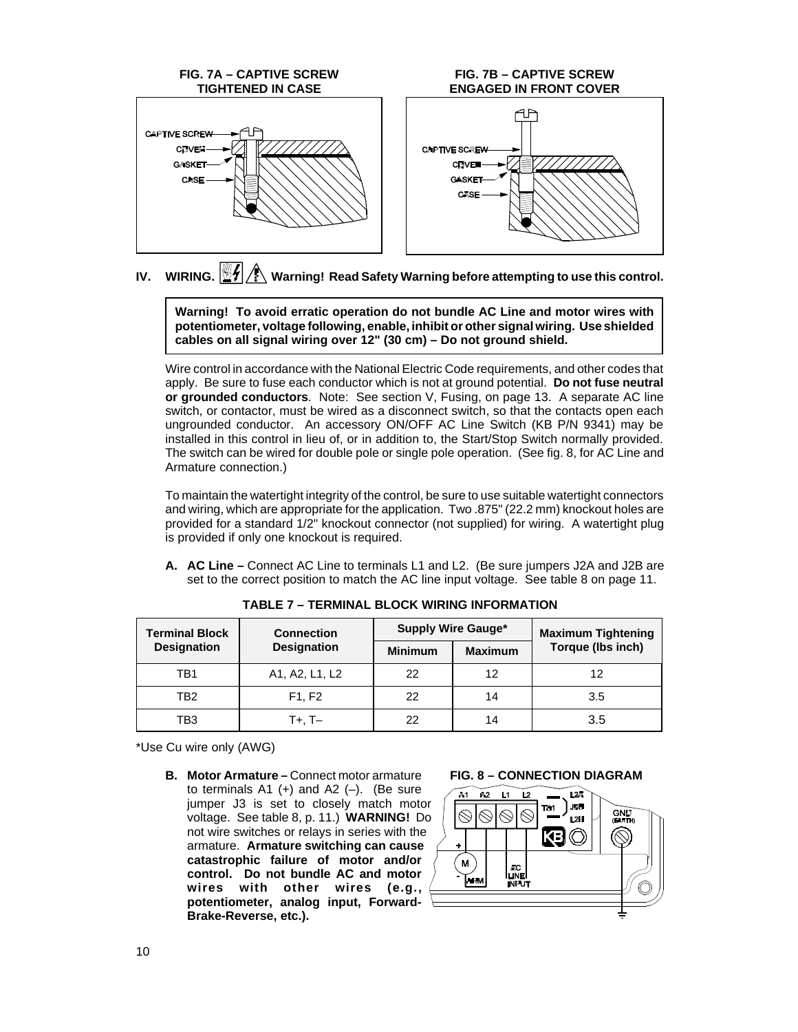

# **IV. WIRING. Warning! Read Safety Warning before attempting to use this control.**

**Warning! To avoid erratic operation do not bundle AC Line and motor wires with potentiometer, voltage following, enable, inhibit or other signal wiring. Use shielded cables on all signal wiring over 12" (30 cm) – Do not ground shield.**

Wire control in accordance with the National Electric Code requirements, and other codes that apply. Be sure to fuse each conductor which is not at ground potential. **Do not fuse neutral or grounded conductors**. Note: See section V, Fusing, on page 13. A separate AC line switch, or contactor, must be wired as a disconnect switch, so that the contacts open each ungrounded conductor. An accessory ON/OFF AC Line Switch (KB P/N 9341) may be installed in this control in lieu of, or in addition to, the Start/Stop Switch normally provided. The switch can be wired for double pole or single pole operation. (See fig. 8, for AC Line and Armature connection.)

To maintain the watertight integrity of the control, be sure to use suitable watertight connectors and wiring, which are appropriate for the application. Two .875" (22.2 mm) knockout holes are provided for a standard 1/2" knockout connector (not supplied) for wiring. A watertight plug is provided if only one knockout is required.

**A. AC Line –** Connect AC Line to terminals L1 and L2. (Be sure jumpers J2A and J2B are set to the correct position to match the AC line input voltage. See table 8 on page 11.

| Terminal Block     | <b>Connection</b>  | <b>Supply Wire Gauge*</b> |                | <b>Maximum Tightening</b> |
|--------------------|--------------------|---------------------------|----------------|---------------------------|
| <b>Designation</b> | <b>Designation</b> | <b>Minimum</b>            | <b>Maximum</b> | Torque (lbs inch)         |
| TB1                | A1, A2, L1, L2     | 22                        | 12             | 12                        |
| TB2                | F1, F2             | 22                        | 14             | 3.5                       |
| TB3                | T+. T–             | 22                        | 14             | 3.5                       |

**TABLE 7 – TERMINAL BLOCK WIRING INFORMATION**

\*Use Cu wire only (AWG)

**B. Motor Armature –** Connect motor armature to terminals  $A1 (+)$  and  $A2 (-)$ . (Be sure jumper J3 is set to closely match motor voltage. See table 8, p. 11.) **WARNING!** Do not wire switches or relays in series with the armature. **Armature switching can cause catastrophic failure of motor and/or control. Do not bundle AC and motor wires with other wires (e.g., potentiometer, analog input, Forward-Brake-Reverse, etc.).**

#### **FIG. 8 – CONNECTION DIAGRAM**

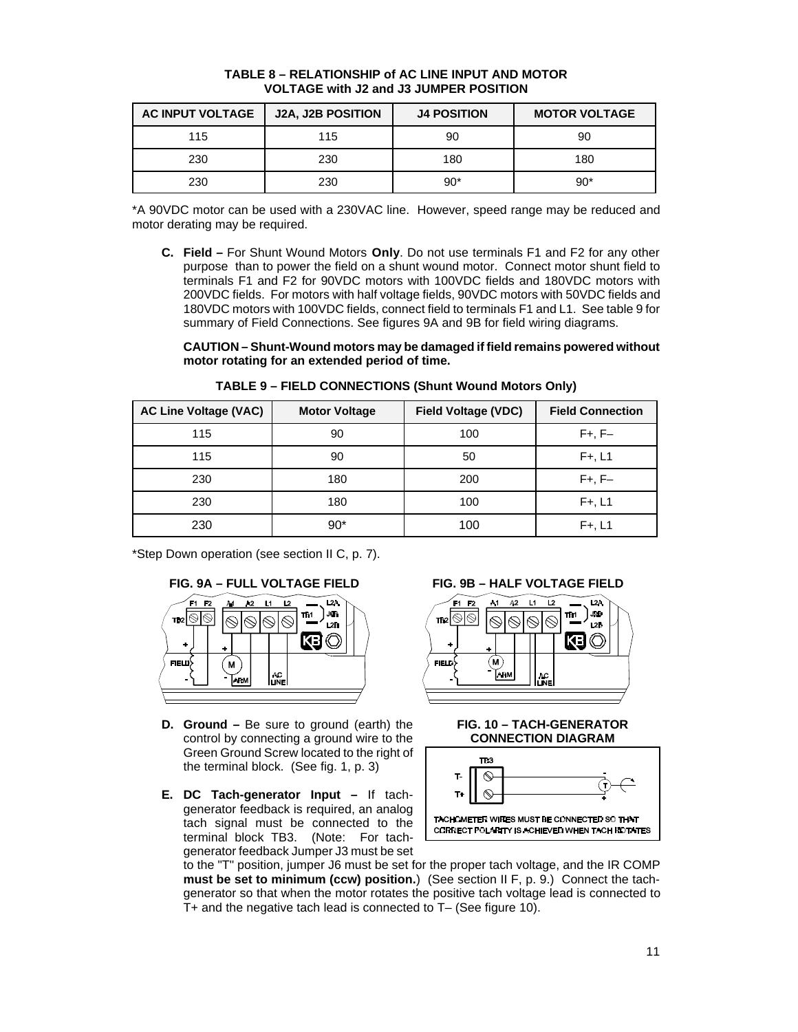| <b>AC INPUT VOLTAGE</b> | <b>J2A, J2B POSITION</b> | <b>J4 POSITION</b> | <b>MOTOR VOLTAGE</b> |
|-------------------------|--------------------------|--------------------|----------------------|
| 115                     | 115                      | 90                 | 90                   |
| 230                     | 230                      | 180                | 180                  |
| 230                     | 230                      | 90*                | $90*$                |

#### **TABLE 8 – RELATIONSHIP of AC LINE INPUT AND MOTOR VOLTAGE with J2 and J3 JUMPER POSITION**

\*A 90VDC motor can be used with a 230VAC line. However, speed range may be reduced and motor derating may be required.

**C. Field –** For Shunt Wound Motors **Only**. Do not use terminals F1 and F2 for any other purpose than to power the field on a shunt wound motor. Connect motor shunt field to terminals F1 and F2 for 90VDC motors with 100VDC fields and 180VDC motors with 200VDC fields. For motors with half voltage fields, 90VDC motors with 50VDC fields and 180VDC motors with 100VDC fields, connect field to terminals F1 and L1. See table 9 for summary of Field Connections. See figures 9A and 9B for field wiring diagrams.

**CAUTION – Shunt-Wound motors may be damaged if field remains powered without motor rotating for an extended period of time.**

| <b>AC Line Voltage (VAC)</b> | <b>Motor Voltage</b> | <b>Field Voltage (VDC)</b> | <b>Field Connection</b> |
|------------------------------|----------------------|----------------------------|-------------------------|
| 115                          | 90                   | 100                        | $F+, F-$                |
| 115                          | 90                   | 50                         | $F+, L1$                |
| 230                          | 180                  | 200                        | $F+, F-$                |
| 230                          | 180                  | 100                        | $F+, L1$                |
| 230                          | $90*$                | 100                        | $F+, L1$                |

**TABLE 9 – FIELD CONNECTIONS (Shunt Wound Motors Only)**

\*Step Down operation (see section II C, p. 7).



- **D. Ground –** Be sure to ground (earth) the control by connecting a ground wire to the Green Ground Screw located to the right of the terminal block. (See fig. 1, p. 3)
- **E. DC Tach-generator Input –** If tachgenerator feedback is required, an analog tach signal must be connected to the terminal block TB3. (Note: For tachgenerator feedback Jumper J3 must be set



#### **FIG. 10 – TACH-GENERATOR CONNECTION DIAGRAM**



to the "T" position, jumper J6 must be set for the proper tach voltage, and the IR COMP **must be set to minimum (ccw) position.**) (See section II F, p. 9.) Connect the tachgenerator so that when the motor rotates the positive tach voltage lead is connected to T+ and the negative tach lead is connected to T– (See figure 10).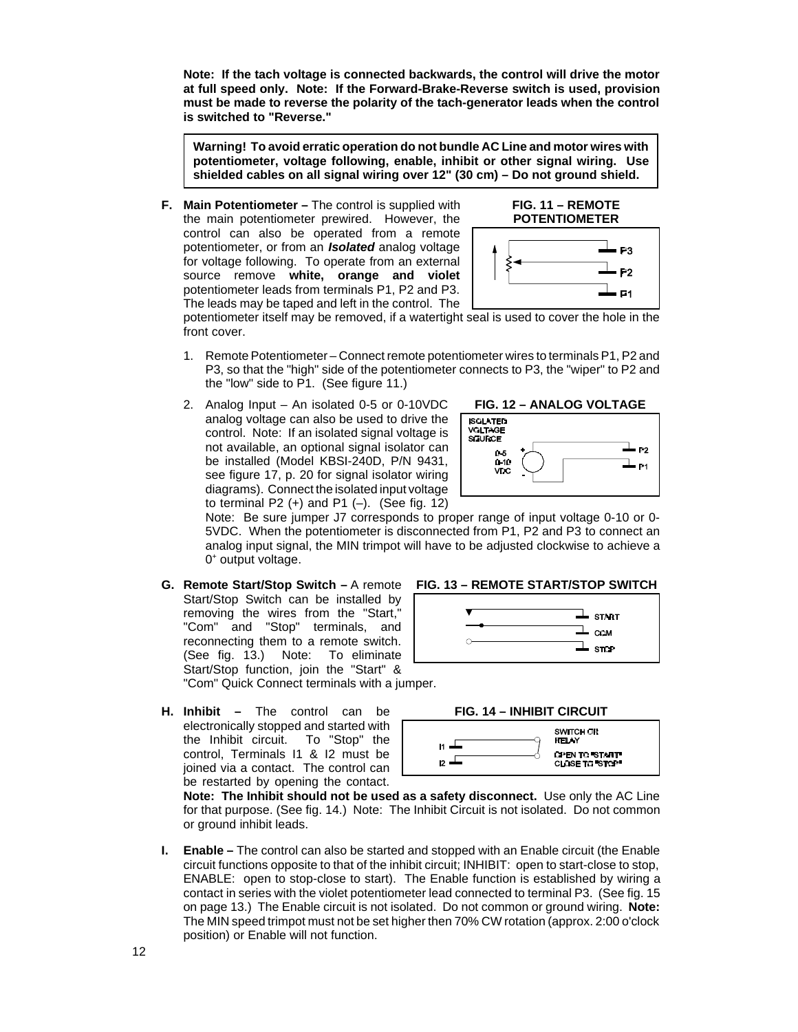**Note: If the tach voltage is connected backwards, the control will drive the motor at full speed only. Note: If the Forward-Brake-Reverse switch is used, provision must be made to reverse the polarity of the tach-generator leads when the control is switched to "Reverse."**

**Warning! To avoid erratic operation do not bundle AC Line and motor wires with potentiometer, voltage following, enable, inhibit or other signal wiring. Use shielded cables on all signal wiring over 12" (30 cm) – Do not ground shield.**

**F. Main Potentiometer –** The control is supplied with the main potentiometer prewired. However, the control can also be operated from a remote potentiometer, or from an *Isolated* analog voltage for voltage following. To operate from an external source remove **white, orange and violet** potentiometer leads from terminals P1, P2 and P3. The leads may be taped and left in the control. The





potentiometer itself may be removed, if a watertight seal is used to cover the hole in the front cover.

- 1. Remote Potentiometer Connect remote potentiometer wires to terminals P1, P2 and P3, so that the "high" side of the potentiometer connects to P3, the "wiper" to P2 and the "low" side to P1. (See figure 11.)
- 2. Analog Input An isolated 0-5 or 0-10VDC analog voltage can also be used to drive the control. Note: If an isolated signal voltage is not available, an optional signal isolator can be installed (Model KBSI-240D, P/N 9431, see figure 17, p. 20 for signal isolator wiring diagrams). Connect the isolated input voltage to terminal P2 $(+)$  and P1 $(-)$ . (See fig. 12)





 $\perp$  start  $\perp$  сом  $\perp$  stop

Note: Be sure jumper J7 corresponds to proper range of input voltage 0-10 or 0- 5VDC. When the potentiometer is disconnected from P1, P2 and P3 to connect an analog input signal, the MIN trimpot will have to be adjusted clockwise to achieve a 0<sup>+</sup> output voltage.

- **G.** Remote Start/Stop Switch A remote FIG. 13 REMOTE START/STOP SWITCH Start/Stop Switch can be installed by removing the wires from the "Start," "Com" and "Stop" terminals, and reconnecting them to a remote switch. (See fig. 13.) Note: To eliminate Start/Stop function, join the "Start" & "Com" Quick Connect terminals with a jumper.
- **H. Inhibit –** The control can be electronically stopped and started with the Inhibit circuit. To "Stop" the control, Terminals I1 & I2 must be joined via a contact. The control can be restarted by opening the contact.



**Note: The Inhibit should not be used as a safety disconnect.** Use only the AC Line for that purpose. (See fig. 14.) Note: The Inhibit Circuit is not isolated. Do not common or ground inhibit leads.

**I. Enable –** The control can also be started and stopped with an Enable circuit (the Enable circuit functions opposite to that of the inhibit circuit; INHIBIT: open to start-close to stop, ENABLE: open to stop-close to start). The Enable function is established by wiring a contact in series with the violet potentiometer lead connected to terminal P3. (See fig. 15 on page 13.) The Enable circuit is not isolated. Do not common or ground wiring. **Note:** The MIN speed trimpot must not be set higher then 70% CW rotation (approx. 2:00 o'clock position) or Enable will not function.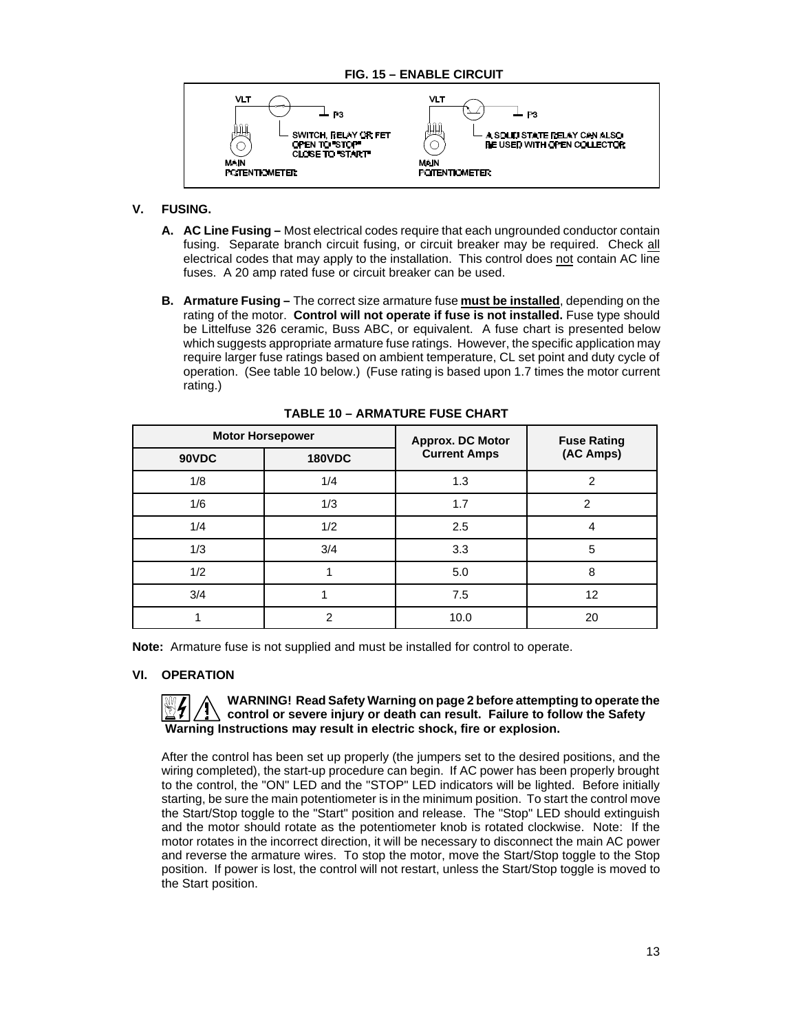

### **V. FUSING.**

- **A. AC Line Fusing –** Most electrical codes require that each ungrounded conductor contain fusing. Separate branch circuit fusing, or circuit breaker may be required. Check all electrical codes that may apply to the installation. This control does not contain AC line fuses. A 20 amp rated fuse or circuit breaker can be used.
- **B. Armature Fusing –** The correct size armature fuse **must be installed**, depending on the rating of the motor. **Control will not operate if fuse is not installed.** Fuse type should be Littelfuse 326 ceramic, Buss ABC, or equivalent. A fuse chart is presented below which suggests appropriate armature fuse ratings. However, the specific application may require larger fuse ratings based on ambient temperature, CL set point and duty cycle of operation. (See table 10 below.) (Fuse rating is based upon 1.7 times the motor current rating.)

| <b>Motor Horsepower</b> |                | Approx. DC Motor    | <b>Fuse Rating</b> |  |
|-------------------------|----------------|---------------------|--------------------|--|
| 90VDC                   | <b>180VDC</b>  | <b>Current Amps</b> | (AC Amps)          |  |
| 1/8                     | 1/4            | 1.3                 | 2                  |  |
| 1/6                     | 1/3            | 1.7                 | 2                  |  |
| 1/4                     | 1/2            | 2.5                 |                    |  |
| 1/3                     | 3/4            | 3.3                 | 5                  |  |
| 1/2                     |                | 5.0                 | 8                  |  |
| 3/4                     |                | 7.5                 | 12                 |  |
|                         | $\mathfrak{p}$ | 10.0                | 20                 |  |

**TABLE 10 – ARMATURE FUSE CHART**

**Note:** Armature fuse is not supplied and must be installed for control to operate.

#### **VI. OPERATION**

#### **WARNING! Read Safety Warning on page 2 before attempting to operate the control or severe injury or death can result. Failure to follow the Safety Warning Instructions may result in electric shock, fire or explosion.**

After the control has been set up properly (the jumpers set to the desired positions, and the wiring completed), the start-up procedure can begin. If AC power has been properly brought to the control, the "ON" LED and the "STOP" LED indicators will be lighted. Before initially starting, be sure the main potentiometer is in the minimum position. To start the control move the Start/Stop toggle to the "Start" position and release. The "Stop" LED should extinguish and the motor should rotate as the potentiometer knob is rotated clockwise. Note: If the motor rotates in the incorrect direction, it will be necessary to disconnect the main AC power and reverse the armature wires. To stop the motor, move the Start/Stop toggle to the Stop position. If power is lost, the control will not restart, unless the Start/Stop toggle is moved to the Start position.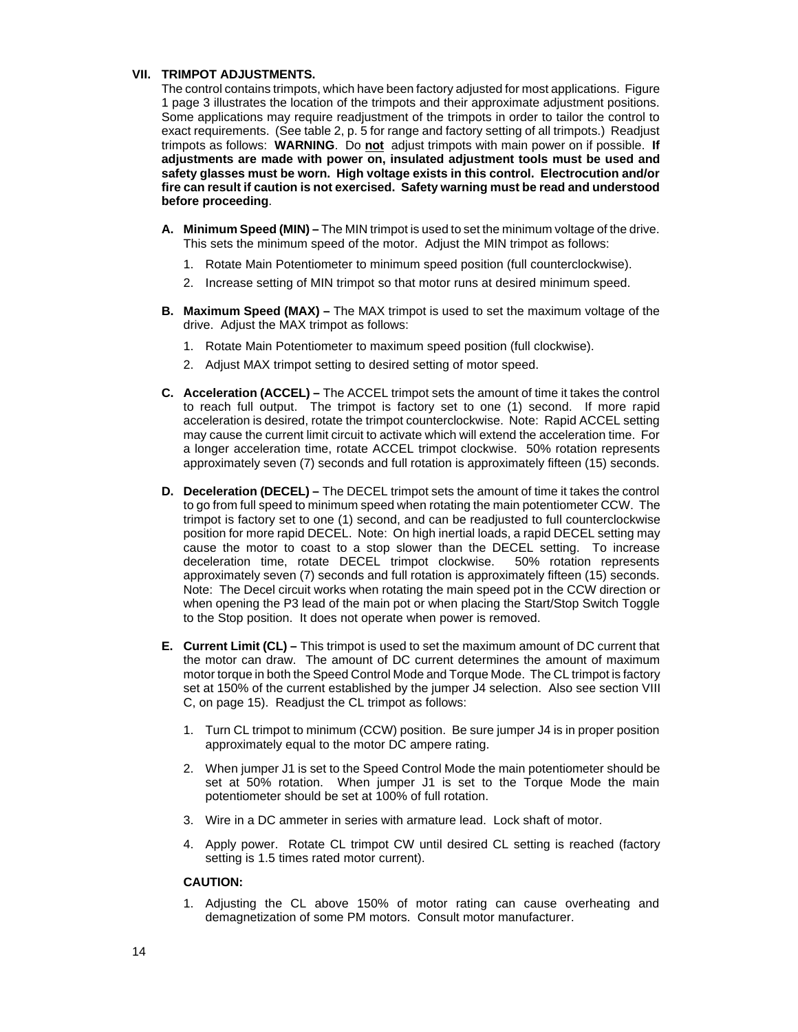#### **VII. TRIMPOT ADJUSTMENTS.**

The control contains trimpots, which have been factory adjusted for most applications. Figure 1 page 3 illustrates the location of the trimpots and their approximate adjustment positions. Some applications may require readjustment of the trimpots in order to tailor the control to exact requirements. (See table 2, p. 5 for range and factory setting of all trimpots.) Readjust trimpots as follows: **WARNING**. Do **not** adjust trimpots with main power on if possible. **If adjustments are made with power on, insulated adjustment tools must be used and safety glasses must be worn. High voltage exists in this control. Electrocution and/or fire can result if caution is not exercised. Safety warning must be read and understood before proceeding**.

- **A. Minimum Speed (MIN) –** The MIN trimpot is used to set the minimum voltage of the drive. This sets the minimum speed of the motor. Adjust the MIN trimpot as follows:
	- 1. Rotate Main Potentiometer to minimum speed position (full counterclockwise).
	- 2. Increase setting of MIN trimpot so that motor runs at desired minimum speed.
- **B. Maximum Speed (MAX) –** The MAX trimpot is used to set the maximum voltage of the drive. Adjust the MAX trimpot as follows:
	- 1. Rotate Main Potentiometer to maximum speed position (full clockwise).
	- 2. Adjust MAX trimpot setting to desired setting of motor speed.
- **C. Acceleration (ACCEL) –** The ACCEL trimpot sets the amount of time it takes the control to reach full output. The trimpot is factory set to one (1) second. If more rapid acceleration is desired, rotate the trimpot counterclockwise. Note: Rapid ACCEL setting may cause the current limit circuit to activate which will extend the acceleration time. For a longer acceleration time, rotate ACCEL trimpot clockwise. 50% rotation represents approximately seven (7) seconds and full rotation is approximately fifteen (15) seconds.
- **D. Deceleration (DECEL) –** The DECEL trimpot sets the amount of time it takes the control to go from full speed to minimum speed when rotating the main potentiometer CCW. The trimpot is factory set to one (1) second, and can be readjusted to full counterclockwise position for more rapid DECEL. Note: On high inertial loads, a rapid DECEL setting may cause the motor to coast to a stop slower than the DECEL setting. To increase deceleration time, rotate DECEL trimpot clockwise. 50% rotation represents approximately seven (7) seconds and full rotation is approximately fifteen (15) seconds. Note: The Decel circuit works when rotating the main speed pot in the CCW direction or when opening the P3 lead of the main pot or when placing the Start/Stop Switch Toggle to the Stop position. It does not operate when power is removed.
- **E. Current Limit (CL) –** This trimpot is used to set the maximum amount of DC current that the motor can draw. The amount of DC current determines the amount of maximum motor torque in both the Speed Control Mode and Torque Mode. The CL trimpot is factory set at 150% of the current established by the jumper J4 selection. Also see section VIII C, on page 15). Readjust the CL trimpot as follows:
	- 1. Turn CL trimpot to minimum (CCW) position. Be sure jumper J4 is in proper position approximately equal to the motor DC ampere rating.
	- 2. When jumper J1 is set to the Speed Control Mode the main potentiometer should be set at 50% rotation. When jumper J1 is set to the Torque Mode the main potentiometer should be set at 100% of full rotation.
	- 3. Wire in a DC ammeter in series with armature lead. Lock shaft of motor.
	- 4. Apply power. Rotate CL trimpot CW until desired CL setting is reached (factory setting is 1.5 times rated motor current).

#### **CAUTION:**

1. Adjusting the CL above 150% of motor rating can cause overheating and demagnetization of some PM motors. Consult motor manufacturer.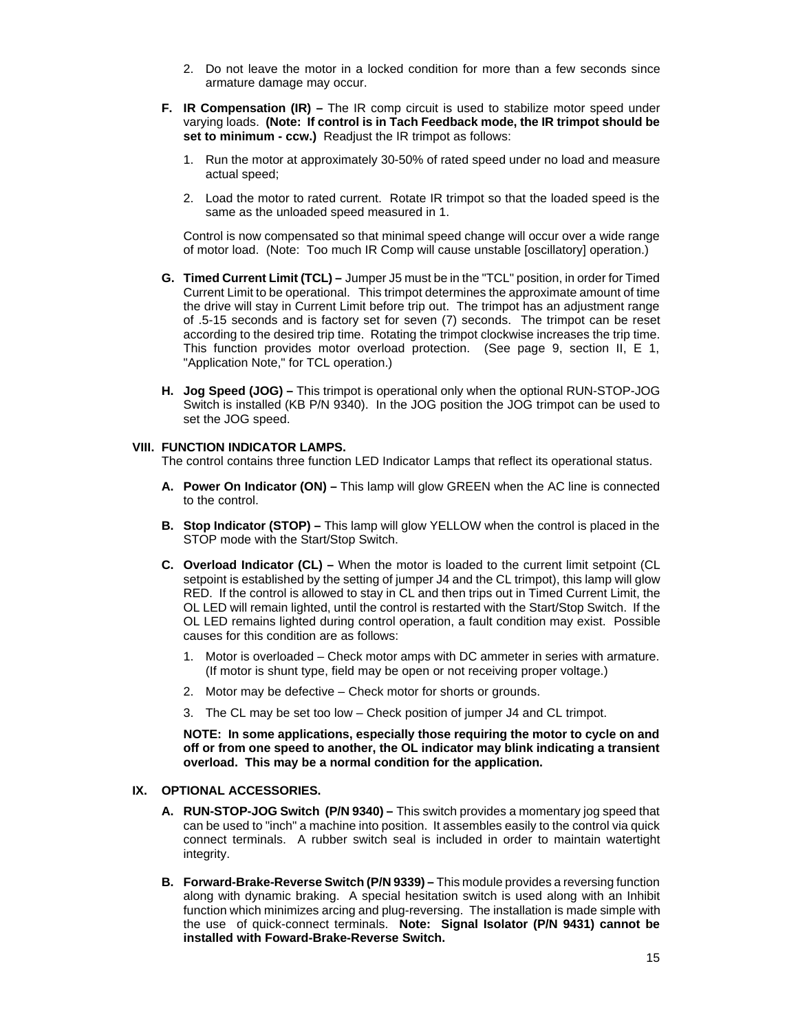- 2. Do not leave the motor in a locked condition for more than a few seconds since armature damage may occur.
- **F. IR Compensation (IR)** The IR comp circuit is used to stabilize motor speed under varying loads. **(Note: If control is in Tach Feedback mode, the IR trimpot should be set to minimum - ccw.)** Readjust the IR trimpot as follows:
	- 1. Run the motor at approximately 30-50% of rated speed under no load and measure actual speed;
	- 2. Load the motor to rated current. Rotate IR trimpot so that the loaded speed is the same as the unloaded speed measured in 1.

Control is now compensated so that minimal speed change will occur over a wide range of motor load. (Note: Too much IR Comp will cause unstable [oscillatory] operation.)

- **G. Timed Current Limit (TCL) –** Jumper J5 must be in the "TCL" position, in order for Timed Current Limit to be operational. This trimpot determines the approximate amount of time the drive will stay in Current Limit before trip out. The trimpot has an adjustment range of .5-15 seconds and is factory set for seven (7) seconds. The trimpot can be reset according to the desired trip time. Rotating the trimpot clockwise increases the trip time. This function provides motor overload protection. (See page 9, section II, E 1, "Application Note," for TCL operation.)
- **H. Jog Speed (JOG) –** This trimpot is operational only when the optional RUN-STOP-JOG Switch is installed (KB P/N 9340). In the JOG position the JOG trimpot can be used to set the JOG speed.

#### **VIII. FUNCTION INDICATOR LAMPS.**

The control contains three function LED Indicator Lamps that reflect its operational status.

- **A. Power On Indicator (ON) –** This lamp will glow GREEN when the AC line is connected to the control.
- **B. Stop Indicator (STOP) –** This lamp will glow YELLOW when the control is placed in the STOP mode with the Start/Stop Switch.
- **C. Overload Indicator (CL) –** When the motor is loaded to the current limit setpoint (CL setpoint is established by the setting of jumper J4 and the CL trimpot), this lamp will glow RED. If the control is allowed to stay in CL and then trips out in Timed Current Limit, the OL LED will remain lighted, until the control is restarted with the Start/Stop Switch. If the OL LED remains lighted during control operation, a fault condition may exist. Possible causes for this condition are as follows:
	- 1. Motor is overloaded Check motor amps with DC ammeter in series with armature. (If motor is shunt type, field may be open or not receiving proper voltage.)
	- 2. Motor may be defective Check motor for shorts or grounds.
	- 3. The CL may be set too low Check position of jumper J4 and CL trimpot.

**NOTE: In some applications, especially those requiring the motor to cycle on and off or from one speed to another, the OL indicator may blink indicating a transient overload. This may be a normal condition for the application.**

#### **IX. OPTIONAL ACCESSORIES.**

- **A. RUN-STOP-JOG Switch (P/N 9340) –** This switch provides a momentary jog speed that can be used to "inch" a machine into position. It assembles easily to the control via quick connect terminals. A rubber switch seal is included in order to maintain watertight integrity.
- **B. Forward-Brake-Reverse Switch (P/N 9339) –** This module provides a reversing function along with dynamic braking. A special hesitation switch is used along with an Inhibit function which minimizes arcing and plug-reversing. The installation is made simple with the use of quick-connect terminals. **Note: Signal Isolator (P/N 9431) cannot be installed with Foward-Brake-Reverse Switch.**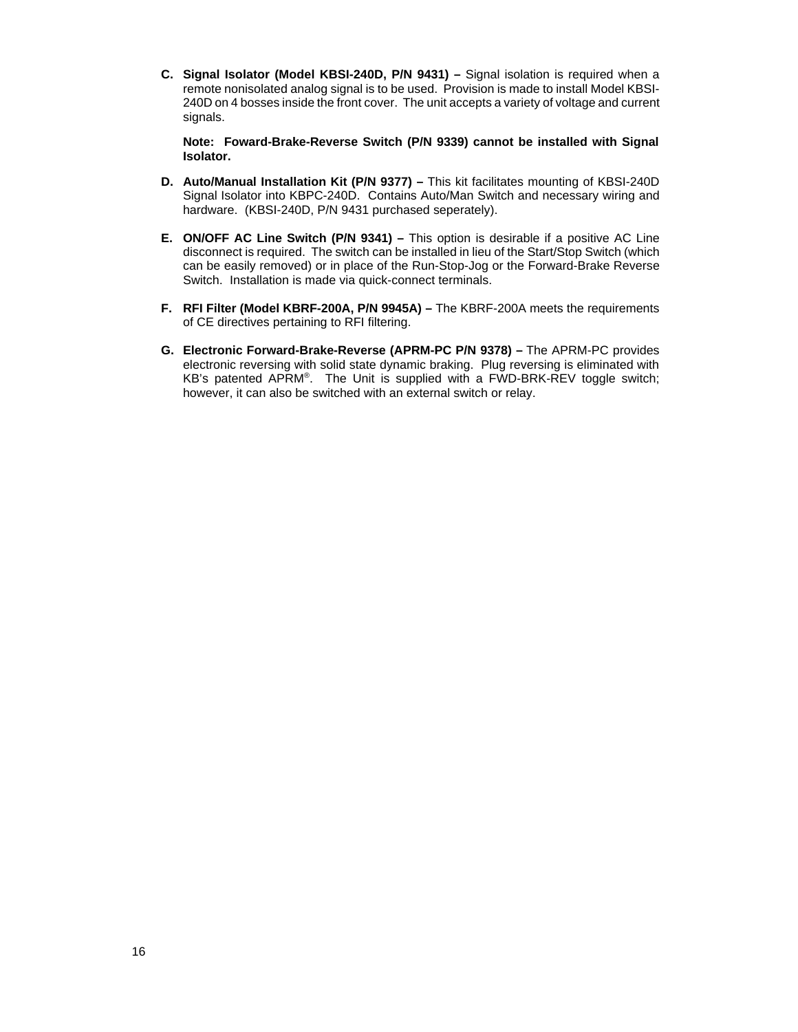**C. Signal Isolator (Model KBSI-240D, P/N 9431) –** Signal isolation is required when a remote nonisolated analog signal is to be used. Provision is made to install Model KBSI-240D on 4 bosses inside the front cover. The unit accepts a variety of voltage and current signals.

**Note: Foward-Brake-Reverse Switch (P/N 9339) cannot be installed with Signal Isolator.**

- **D. Auto/Manual Installation Kit (P/N 9377) –** This kit facilitates mounting of KBSI-240D Signal Isolator into KBPC-240D. Contains Auto/Man Switch and necessary wiring and hardware. (KBSI-240D, P/N 9431 purchased seperately).
- **E. ON/OFF AC Line Switch (P/N 9341) –** This option is desirable if a positive AC Line disconnect is required. The switch can be installed in lieu of the Start/Stop Switch (which can be easily removed) or in place of the Run-Stop-Jog or the Forward-Brake Reverse Switch. Installation is made via quick-connect terminals.
- **F. RFI Filter (Model KBRF-200A, P/N 9945A) –** The KBRF-200A meets the requirements of CE directives pertaining to RFI filtering.
- **G. Electronic Forward-Brake-Reverse (APRM-PC P/N 9378) –** The APRM-PC provides electronic reversing with solid state dynamic braking. Plug reversing is eliminated with KB's patented APRM®. The Unit is supplied with a FWD-BRK-REV toggle switch; however, it can also be switched with an external switch or relay.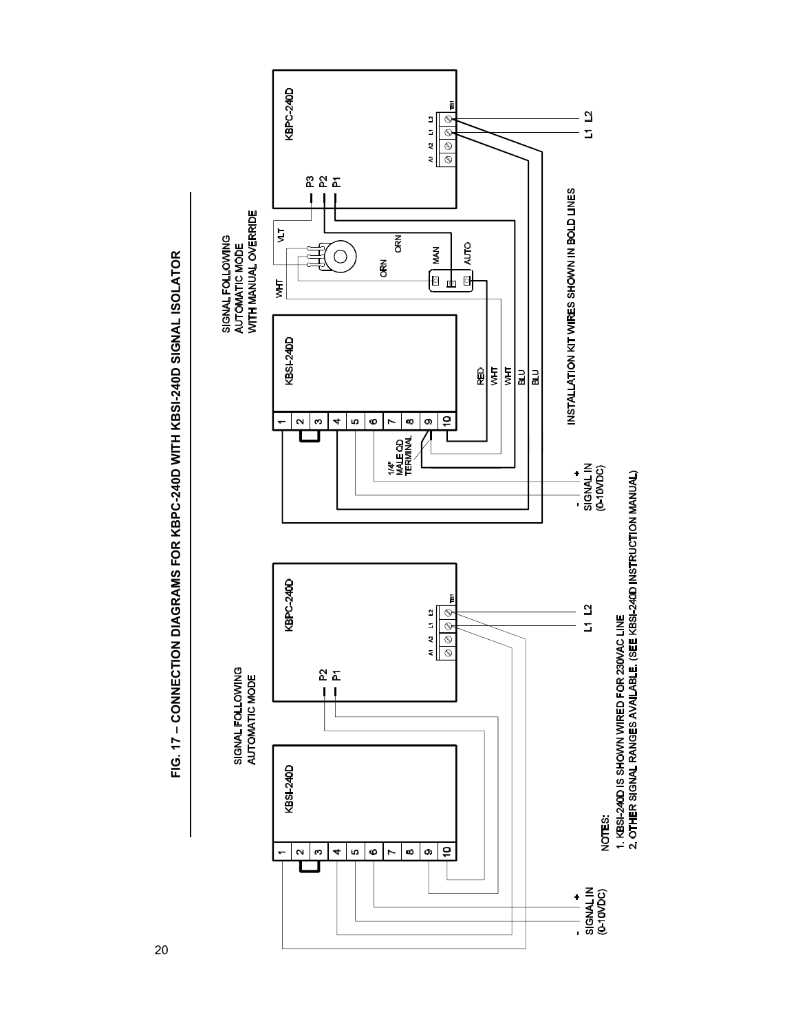

FIG. 17 - CONNECTION DIAGRAMS FOR KBPC-240D WITH KBSI-240D SIGNAL ISOLATOR **– CONNECTION DIAGRAMS FOR KBPC-240D WITH KBSI-240D SIGNAL ISOLATOR**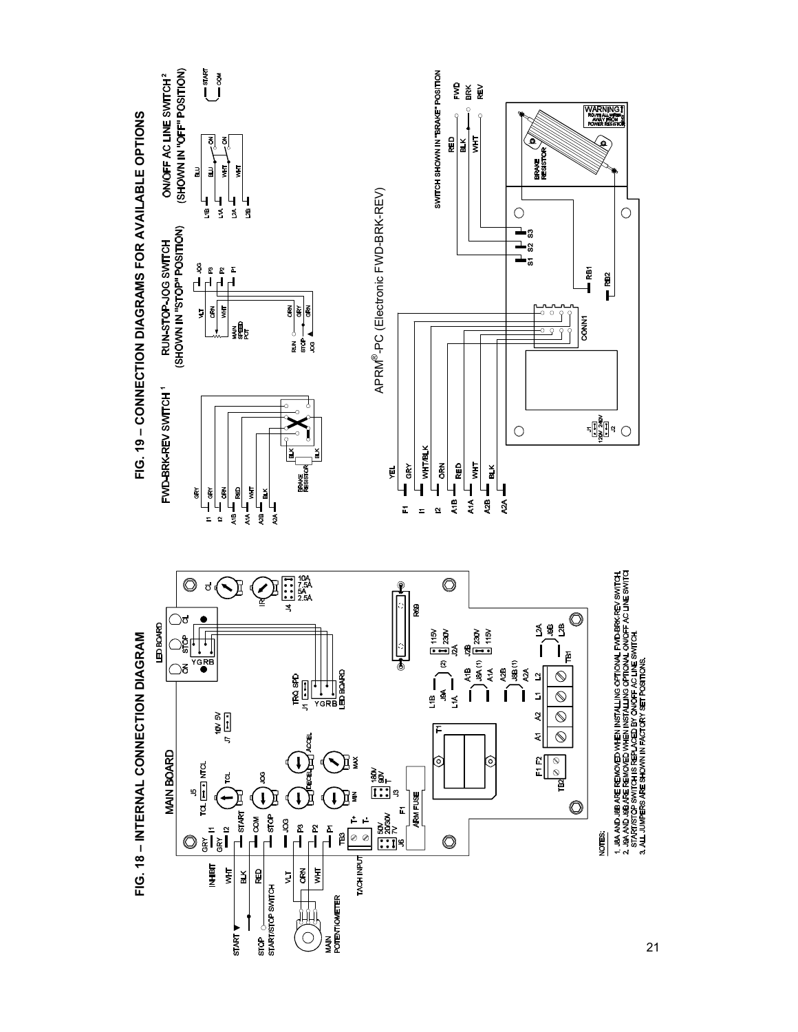

21